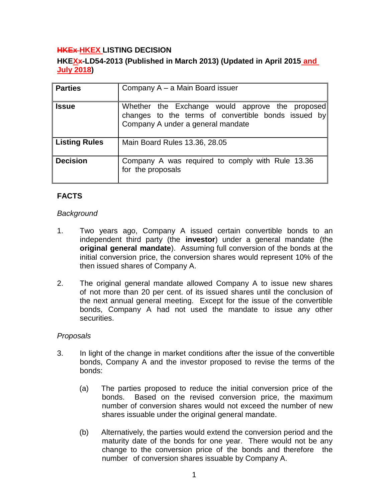# **HKEx HKEX LISTING DECISION**

# **HKEXx-LD54-2013 (Published in March 2013) (Updated in April 2015 and July 2018)**

| <b>Parties</b>       | Company A – a Main Board issuer                                                                                                             |
|----------------------|---------------------------------------------------------------------------------------------------------------------------------------------|
| <b>Issue</b>         | Whether the Exchange would approve the proposed<br>changes to the terms of convertible bonds issued by<br>Company A under a general mandate |
| <b>Listing Rules</b> | Main Board Rules 13.36, 28.05                                                                                                               |
| <b>Decision</b>      | Company A was required to comply with Rule 13.36<br>for the proposals                                                                       |

# **FACTS**

#### *Background*

- 1. Two years ago, Company A issued certain convertible bonds to an independent third party (the **investor**) under a general mandate (the **original general mandate**). Assuming full conversion of the bonds at the initial conversion price, the conversion shares would represent 10% of the then issued shares of Company A.
- 2. The original general mandate allowed Company A to issue new shares of not more than 20 per cent. of its issued shares until the conclusion of the next annual general meeting. Except for the issue of the convertible bonds, Company A had not used the mandate to issue any other securities.

#### *Proposals*

- 3. In light of the change in market conditions after the issue of the convertible bonds, Company A and the investor proposed to revise the terms of the bonds:
	- (a) The parties proposed to reduce the initial conversion price of the bonds. Based on the revised conversion price, the maximum number of conversion shares would not exceed the number of new shares issuable under the original general mandate.
	- (b) Alternatively, the parties would extend the conversion period and the maturity date of the bonds for one year. There would not be any change to the conversion price of the bonds and therefore the number of conversion shares issuable by Company A.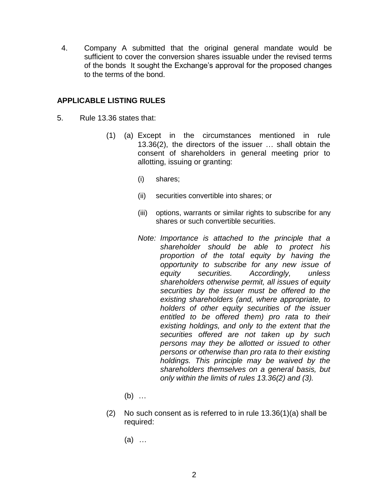4. Company A submitted that the original general mandate would be sufficient to cover the conversion shares issuable under the revised terms of the bonds It sought the Exchange's approval for the proposed changes to the terms of the bond.

### **APPLICABLE LISTING RULES**

- 5. Rule 13.36 states that:
	- (1) (a) Except in the circumstances mentioned in rule 13.36(2), the directors of the issuer … shall obtain the consent of shareholders in general meeting prior to allotting, issuing or granting:
		- (i) shares;
		- (ii) securities convertible into shares; or
		- (iii) options, warrants or similar rights to subscribe for any shares or such convertible securities.
		- *Note: Importance is attached to the principle that a shareholder should be able to protect his proportion of the total equity by having the opportunity to subscribe for any new issue of equity securities. Accordingly, unless shareholders otherwise permit, all issues of equity securities by the issuer must be offered to the existing shareholders (and, where appropriate, to holders of other equity securities of the issuer entitled to be offered them) pro rata to their existing holdings, and only to the extent that the securities offered are not taken up by such persons may they be allotted or issued to other persons or otherwise than pro rata to their existing holdings. This principle may be waived by the shareholders themselves on a general basis, but only within the limits of rules 13.36(2) and (3).*
		- (b) …
	- (2) No such consent as is referred to in rule 13.36(1)(a) shall be required:
		- (a) …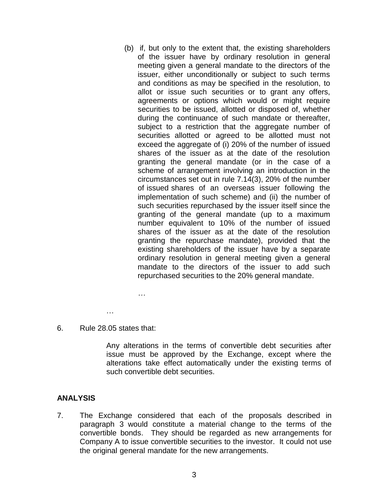(b) if, but only to the extent that, the existing shareholders of the issuer have by ordinary resolution in general meeting given a general mandate to the directors of the issuer, either unconditionally or subject to such terms and conditions as may be specified in the resolution, to allot or issue such securities or to grant any offers, agreements or options which would or might require securities to be issued, allotted or disposed of, whether during the continuance of such mandate or thereafter, subject to a restriction that the aggregate number of securities allotted or agreed to be allotted must not exceed the aggregate of (i) 20% of the number of issued shares of the issuer as at the date of the resolution granting the general mandate (or in the case of a scheme of arrangement involving an introduction in the circumstances set out in rule 7.14(3), 20% of the number of issued shares of an overseas issuer following the implementation of such scheme) and (ii) the number of such securities repurchased by the issuer itself since the granting of the general mandate (up to a maximum number equivalent to 10% of the number of issued shares of the issuer as at the date of the resolution granting the repurchase mandate), provided that the existing shareholders of the issuer have by a separate ordinary resolution in general meeting given a general mandate to the directors of the issuer to add such repurchased securities to the 20% general mandate.

*…*

- …
- 6. Rule 28.05 states that:

Any alterations in the terms of convertible debt securities after issue must be approved by the Exchange, except where the alterations take effect automatically under the existing terms of such convertible debt securities.

## **ANALYSIS**

7. The Exchange considered that each of the proposals described in paragraph 3 would constitute a material change to the terms of the convertible bonds. They should be regarded as new arrangements for Company A to issue convertible securities to the investor. It could not use the original general mandate for the new arrangements.